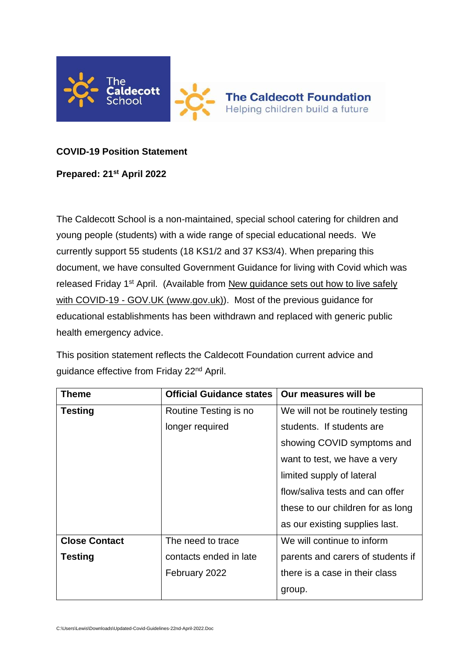

## **COVID-19 Position Statement**

## **Prepared: 21st April 2022**

The Caldecott School is a non-maintained, special school catering for children and young people (students) with a wide range of special educational needs. We currently support 55 students (18 KS1/2 and 37 KS3/4). When preparing this document, we have consulted Government Guidance for living with Covid which was released Friday 1<sup>st</sup> April. (Available from New guidance sets out how to live safely with COVID-19 - [GOV.UK \(www.gov.uk\)\)](https://www.gov.uk/government/news/new-guidance-sets-out-how-to-live-safely-with-covid-19). Most of the previous guidance for educational establishments has been withdrawn and replaced with generic public health emergency advice.

This position statement reflects the Caldecott Foundation current advice and guidance effective from Friday 22<sup>nd</sup> April.

| Theme                | <b>Official Guidance states</b> | Our measures will be              |
|----------------------|---------------------------------|-----------------------------------|
| <b>Testing</b>       | Routine Testing is no           | We will not be routinely testing  |
|                      | longer required                 | students. If students are         |
|                      |                                 | showing COVID symptoms and        |
|                      |                                 | want to test, we have a very      |
|                      |                                 | limited supply of lateral         |
|                      |                                 | flow/saliva tests and can offer   |
|                      |                                 | these to our children for as long |
|                      |                                 | as our existing supplies last.    |
| <b>Close Contact</b> | The need to trace               | We will continue to inform        |
| <b>Testing</b>       | contacts ended in late          | parents and carers of students if |
|                      | February 2022                   | there is a case in their class    |
|                      |                                 | group.                            |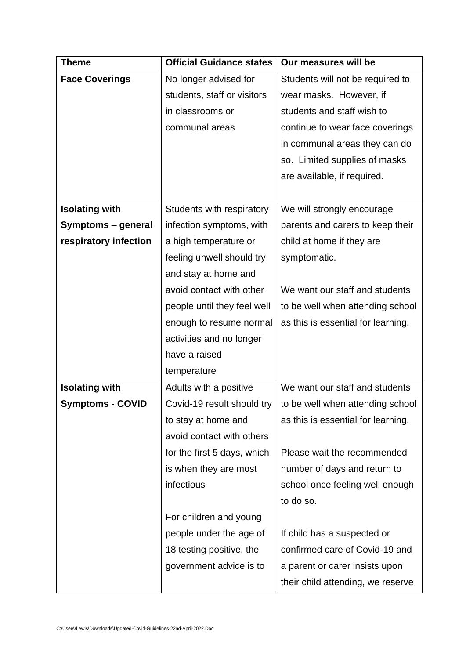| <b>Theme</b>            | <b>Official Guidance states</b> | Our measures will be               |
|-------------------------|---------------------------------|------------------------------------|
| <b>Face Coverings</b>   | No longer advised for           | Students will not be required to   |
|                         | students, staff or visitors     | wear masks. However, if            |
|                         | in classrooms or                | students and staff wish to         |
|                         | communal areas                  | continue to wear face coverings    |
|                         |                                 | in communal areas they can do      |
|                         |                                 | so. Limited supplies of masks      |
|                         |                                 | are available, if required.        |
|                         |                                 |                                    |
| <b>Isolating with</b>   | Students with respiratory       | We will strongly encourage         |
| Symptoms - general      | infection symptoms, with        | parents and carers to keep their   |
| respiratory infection   | a high temperature or           | child at home if they are          |
|                         | feeling unwell should try       | symptomatic.                       |
|                         | and stay at home and            |                                    |
|                         | avoid contact with other        | We want our staff and students     |
|                         | people until they feel well     | to be well when attending school   |
|                         | enough to resume normal         | as this is essential for learning. |
|                         | activities and no longer        |                                    |
|                         | have a raised                   |                                    |
|                         | temperature                     |                                    |
| <b>Isolating with</b>   | Adults with a positive          | We want our staff and students     |
| <b>Symptoms - COVID</b> | Covid-19 result should try      | to be well when attending school   |
|                         | to stay at home and             | as this is essential for learning. |
|                         | avoid contact with others       |                                    |
|                         | for the first 5 days, which     | Please wait the recommended        |
|                         | is when they are most           | number of days and return to       |
|                         | infectious                      | school once feeling well enough    |
|                         |                                 | to do so.                          |
|                         | For children and young          |                                    |
|                         | people under the age of         | If child has a suspected or        |
|                         | 18 testing positive, the        | confirmed care of Covid-19 and     |
|                         | government advice is to         | a parent or carer insists upon     |
|                         |                                 | their child attending, we reserve  |